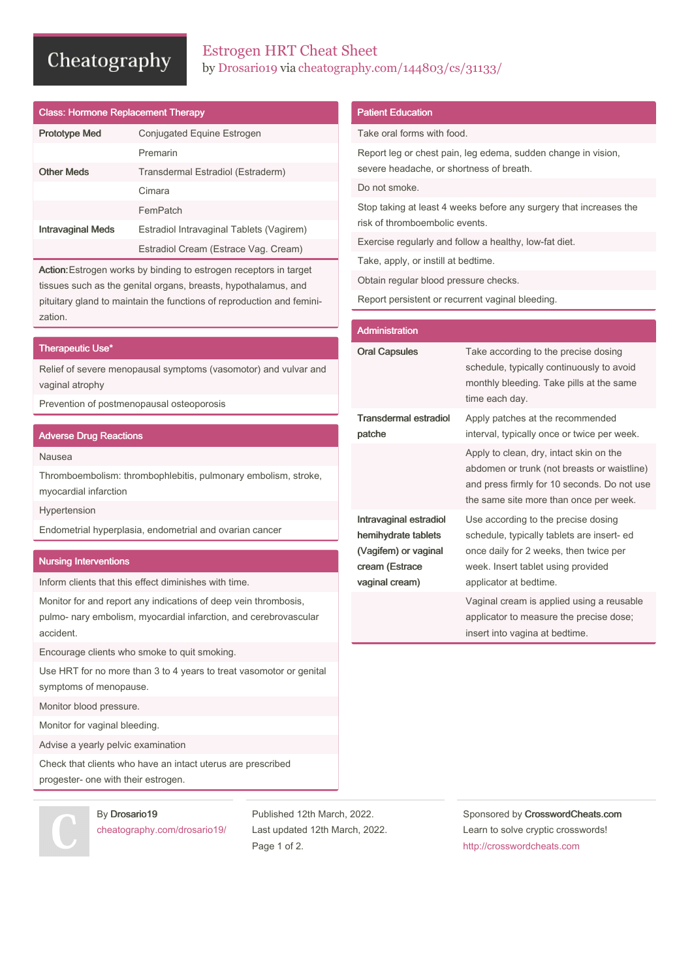# Cheatography

## Estrogen HRT Cheat Sheet by [Drosario19](http://www.cheatography.com/drosario19/) via [cheatography.com/144803/cs/31133/](http://www.cheatography.com/drosario19/cheat-sheets/estrogen-hrt)

| <b>Class: Hormone Replacement Therapy</b> |                                          |
|-------------------------------------------|------------------------------------------|
| <b>Prototype Med</b>                      | Conjugated Equine Estrogen               |
|                                           | Premarin                                 |
| <b>Other Meds</b>                         | Transdermal Estradiol (Estraderm)        |
|                                           | Cimara                                   |
|                                           | FemPatch                                 |
| <b>Intravaginal Meds</b>                  | Estradiol Intravaginal Tablets (Vagirem) |
|                                           | Estradiol Cream (Estrace Vag. Cream)     |

Action:Estrogen works by binding to estrogen receptors in target tissues such as the genital organs, breasts, hypothalamus, and pituitary gland to maintain the functions of reproduction and femini‐ zation.

#### Therapeutic Use\*

Relief of severe menopausal symptoms (vasomotor) and vulvar and vaginal atrophy

Prevention of postmenopausal osteoporosis

### Adverse Drug Reactions

Nausea

Thromboembolism: thrombophlebitis, pulmonary embolism, stroke, myocardial infarction

Hypertension

Endometrial hyperplasia, endometrial and ovarian cancer

### Nursing Interventions

Inform clients that this effect diminishes with time.

Monitor for and report any indications of deep vein thrombosis, pulmo- nary embolism, myocardial infarction, and cerebrovascular accident.

Encourage clients who smoke to quit smoking.

Use HRT for no more than 3 to 4 years to treat vasomotor or genital symptoms of menopause.

Monitor blood pressure.

Monitor for vaginal bleeding.

Advise a yearly pelvic examination

Check that clients who have an intact uterus are prescribed progester- one with their estrogen.



By Drosario19 [cheatography.com/drosario19/](http://www.cheatography.com/drosario19/) Published 12th March, 2022. Last updated 12th March, 2022. Page 1 of 2.

## Sponsored by CrosswordCheats.com Learn to solve cryptic crosswords! <http://crosswordcheats.com>

## Patient Education

Take oral forms with food.

Report leg or chest pain, leg edema, sudden change in vision, severe headache, or shortness of breath.

Do not smoke.

Stop taking at least 4 weeks before any surgery that increases the risk of thromboembolic events.

Exercise regularly and follow a healthy, low-fat diet.

Take, apply, or instill at bedtime.

Obtain regular blood pressure checks.

Report persistent or recurrent vaginal bleeding.

| <b>Administration</b>                                                                                     |                                                                                                                                                                                             |
|-----------------------------------------------------------------------------------------------------------|---------------------------------------------------------------------------------------------------------------------------------------------------------------------------------------------|
| <b>Oral Capsules</b>                                                                                      | Take according to the precise dosing<br>schedule, typically continuously to avoid<br>monthly bleeding. Take pills at the same<br>time each day.                                             |
| <b>Transdermal estradiol</b><br>patche                                                                    | Apply patches at the recommended<br>interval, typically once or twice per week.                                                                                                             |
|                                                                                                           | Apply to clean, dry, intact skin on the<br>abdomen or trunk (not breasts or waistline)<br>and press firmly for 10 seconds. Do not use<br>the same site more than once per week.             |
| Intravaginal estradiol<br>hemihydrate tablets<br>(Vagifem) or vaginal<br>cream (Estrace<br>vaginal cream) | Use according to the precise dosing<br>schedule, typically tablets are insert- ed<br>once daily for 2 weeks, then twice per<br>week. Insert tablet using provided<br>applicator at bedtime. |
|                                                                                                           | Vaginal cream is applied using a reusable<br>applicator to measure the precise dose;<br>insert into vagina at bedtime.                                                                      |